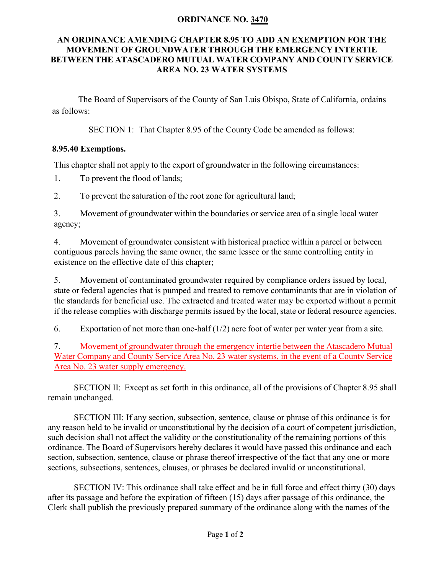## **ORDINANCE NO. 3470**

## **AN ORDINANCE AMENDING CHAPTER 8.95 TO ADD AN EXEMPTION FOR THE MOVEMENT OF GROUNDWATER THROUGH THE EMERGENCY INTERTIE BETWEEN THE ATASCADERO MUTUAL WATER COMPANY AND COUNTY SERVICE AREA NO. 23 WATER SYSTEMS**

The Board of Supervisors of the County of San Luis Obispo, State of California, ordains as follows:

SECTION 1: That Chapter 8.95 of the County Code be amended as follows:

## **8.95.40 Exemptions.**

This chapter shall not apply to the export of groundwater in the following circumstances:

1. To prevent the flood of lands;

2. To prevent the saturation of the root zone for agricultural land;

3. Movement of groundwater within the boundaries or service area of a single local water agency;

4. Movement of groundwater consistent with historical practice within a parcel or between contiguous parcels having the same owner, the same lessee or the same controlling entity in existence on the effective date of this chapter;

5. Movement of contaminated groundwater required by compliance orders issued by local, state or federal agencies that is pumped and treated to remove contaminants that are in violation of the standards for beneficial use. The extracted and treated water may be exported without a permit if the release complies with discharge permits issued by the local, state or federal resource agencies.

6. Exportation of not more than one-half  $(1/2)$  acre foot of water per water year from a site.

7. Movement of groundwater through the emergency intertie between the Atascadero Mutual Water Company and County Service Area No. 23 water systems, in the event of a County Service Area No. 23 water supply emergency.

SECTION II: Except as set forth in this ordinance, all of the provisions of Chapter 8.95 shall remain unchanged.

SECTION III: If any section, subsection, sentence, clause or phrase of this ordinance is for any reason held to be invalid or unconstitutional by the decision of a court of competent jurisdiction, such decision shall not affect the validity or the constitutionality of the remaining portions of this ordinance. The Board of Supervisors hereby declares it would have passed this ordinance and each section, subsection, sentence, clause or phrase thereof irrespective of the fact that any one or more sections, subsections, sentences, clauses, or phrases be declared invalid or unconstitutional.

SECTION IV: This ordinance shall take effect and be in full force and effect thirty (30) days after its passage and before the expiration of fifteen (15) days after passage of this ordinance, the Clerk shall publish the previously prepared summary of the ordinance along with the names of the